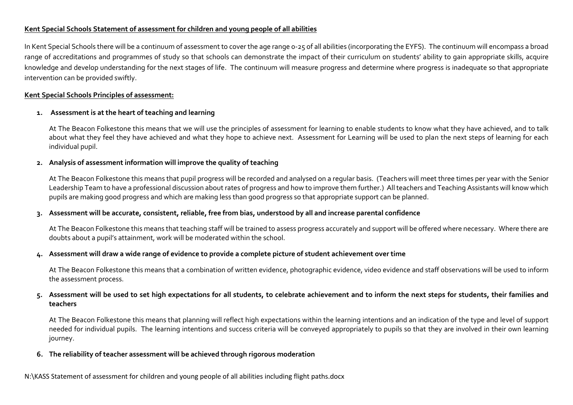# **Kent Special Schools Statement of assessment for children and young people of all abilities**

In Kent Special Schools there will be a continuum of assessment to cover the age range 0-25 of all abilities (incorporating the EYFS). The continuum will encompass a broad range of accreditations and programmes of study so that schools can demonstrate the impact of their curriculum on students' ability to gain appropriate skills, acquire knowledge and develop understanding for the next stages of life. The continuum will measure progress and determine where progress is inadequate so that appropriate intervention can be provided swiftly.

#### **Kent Special Schools Principles of assessment:**

# **1. Assessment is at the heart of teaching and learning**

At The Beacon Folkestone this means that we will use the principles of assessment for learning to enable students to know what they have achieved, and to talk about what they feel they have achieved and what they hope to achieve next. Assessment for Learning will be used to plan the next steps of learning for each individual pupil.

# **2. Analysis of assessment information will improve the quality of teaching**

At The Beacon Folkestone this means that pupil progress will be recorded and analysed on a regular basis. (Teachers will meet three times per year with the Senior Leadership Team to have a professional discussion about rates of progress and how to improve them further.) All teachers and Teaching Assistants will know which pupils are making good progress and which are making less than good progress so that appropriate support can be planned.

# **3. Assessment will be accurate, consistent, reliable, free from bias, understood by all and increase parental confidence**

At The Beacon Folkestone this means that teaching staff will be trained to assess progress accurately and support will be offered where necessary. Where there are doubts about a pupil's attainment, work will be moderated within the school.

#### **4. Assessment will draw a wide range of evidence to provide a complete picture of student achievement over time**

At The Beacon Folkestone this means that a combination of written evidence, photographic evidence, video evidence and staff observations will be used to inform the assessment process.

# **5. Assessment will be used to set high expectations for all students, to celebrate achievement and to inform the next steps for students, their families and teachers**

At The Beacon Folkestone this means that planning will reflect high expectations within the learning intentions and an indication of the type and level of support needed for individual pupils. The learning intentions and success criteria will be conveyed appropriately to pupils so that they are involved in their own learning journey.

#### **6. The reliability of teacher assessment will be achieved through rigorous moderation**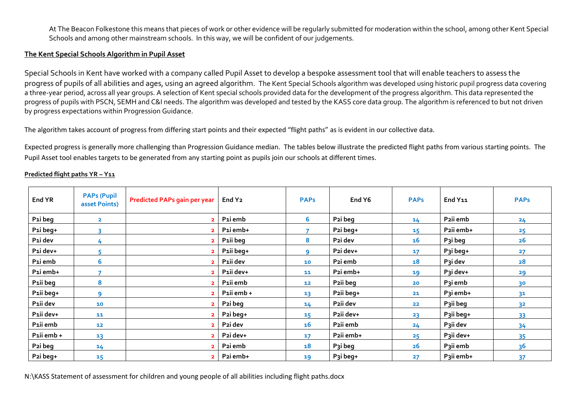At The Beacon Folkestone this means that pieces of work or other evidence will be regularly submitted for moderation within the school, among other Kent Special Schools and among other mainstream schools. In this way, we will be confident of our judgements.

#### **The Kent Special Schools Algorithm in Pupil Asset**

Special Schools in Kent have worked with a company called Pupil Asset to develop a bespoke assessment tool that will enable teachers to assess the progress of pupils of all abilities and ages, using an agreed algorithm. The Kent Special Schools algorithm was developed using historic pupil progress data covering a three-year period, across all year groups. A selection of Kent special schools provided data for the development of the progress algorithm. This data represented the progress of pupils with PSCN, SEMH and C&I needs. The algorithm was developed and tested by the KASS core data group. The algorithm is referenced to but not driven by progress expectations within Progression Guidance.

The algorithm takes account of progress from differing start points and their expected "flight paths" as is evident in our collective data.

Expected progress is generally more challenging than Progression Guidance median. The tables below illustrate the predicted flight paths from various starting points. The Pupil Asset tool enables targets to be generated from any starting point as pupils join our schools at different times.

| End YR     | <b>PAPs (Pupil</b><br>asset Points) | <b>Predicted PAPs gain per year</b> | End Y <sub>2</sub>   | <b>PAPs</b>     | End Y6               | <b>PAPs</b> | End Y11   | <b>PAPs</b>    |
|------------|-------------------------------------|-------------------------------------|----------------------|-----------------|----------------------|-------------|-----------|----------------|
| P1i beg    | $\overline{\mathbf{2}}$             | $\overline{2}$                      | P1i emb              | 6               | P2i beg              | 14          | P2ii emb  | 24             |
| P1i beg+   |                                     | $\overline{\phantom{a}}$            | P1i emb+             |                 | P2i beg+             | 15          | P2ii emb+ | 25             |
| P1i dev    | 4                                   | C.                                  | P1ii beg             | 8               | P2i dev              | 16          | P3i beg   | 26             |
| P1i dev+   |                                     |                                     | P1ii beg+            | q               | P2i dev+             | 17          | P3i beg+  | 27             |
| P1i emb    | 6                                   | $\overline{2}$                      | P1ii dev             | 10              | P2i emb              | 18          | P3i dev   | 28             |
| P1i emb+   |                                     | $\overline{2}$                      | P1ii dev+            | 11              | P2i emb+             | 19          | P3i dev+  | 29             |
| P1ii beg   | 8                                   | $\mathbf{z}$                        | P1ii emb             | 12              | P2ii beg             | 20          | P3i emb   | 3 <sup>o</sup> |
| P1ii beg+  | ٩                                   |                                     | P1ii emb +           | 13 <sup>1</sup> | P2ii beg+            | 21          | P3i emb+  | 3 <sup>1</sup> |
| P1ii dev   | 10                                  | $\overline{2}$                      | P <sub>2</sub> i beg | 14              | P2ii dev             | 22          | P3ii beg  | 3 <sup>2</sup> |
| P1ii dev+  | 11                                  |                                     | P2i beg+             | 15              | P2ii dev+            | 23          | P3ii beg+ | 33             |
| P1ii emb   | 12                                  | $\overline{2}$                      | P2i dev              | 16              | P2ii emb             | 24          | P3ii dev  | 34             |
| P1ii emb + | 13                                  | $\overline{2}$                      | P2i dev+             | 17              | P2ii emb+            | 25          | P3ii dev+ | 35             |
| P2i beg    | 14                                  | $\overline{2}$                      | P2i emb              | 18              | P <sub>3</sub> i beg | 26          | P3ii emb  | 3 <sup>6</sup> |
| P2i beg+   | 15                                  | $\overline{2}$                      | P2i emb+             | 19              | P3i beg+             | 27          | P3ii emb+ | 37             |

#### **Predicted flight paths YR – Y11**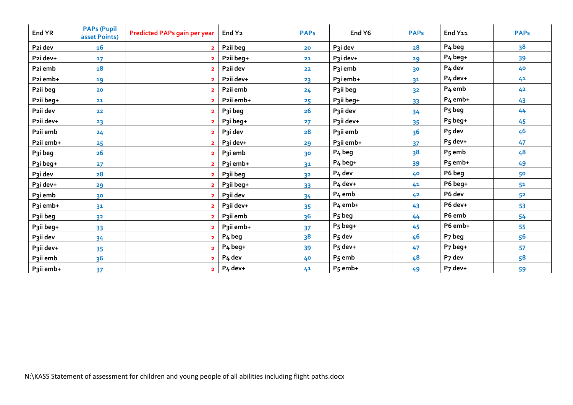| End YR                | <b>PAPs (Pupil</b><br>asset Points) | <b>Predicted PAPs gain per year</b> | End Y <sub>2</sub>   | <b>PAPs</b>    | End Y6              | <b>PAPs</b>    | End Y11             | <b>PAPs</b>    |
|-----------------------|-------------------------------------|-------------------------------------|----------------------|----------------|---------------------|----------------|---------------------|----------------|
| P2i dev               | 16                                  | $\overline{2}$                      | P2ii beg             | 20             | P3i dev             | 28             | P <sub>4</sub> beg  | 3 <sup>8</sup> |
| P2i dev+              | $17 \overline{ }$                   | $\overline{2}$                      | P2ii beg+            | 21             | P3i dev+            | 29             | P <sub>4</sub> beg+ | 39             |
| P2i emb               | 18                                  | $\overline{2}$                      | P2ii dev             | 22             | P3i emb             | 30             | P <sub>4</sub> dev  | 40             |
| P2i emb+              | 19                                  | $\overline{\mathbf{2}}$             | P2ii dev+            | 23             | P3i emb+            | 31             | P <sub>4</sub> dev+ | 41             |
| P2ii beg              | 20                                  | $\overline{2}$                      | P2ii emb             | 24             | P3ii beg            | 3 <sup>2</sup> | P <sub>4</sub> emb  | 42             |
| P2ii beg+             | 21                                  | $\overline{2}$                      | P2ii emb+            | 25             | P3ii beg+           | 33             | P <sub>4</sub> emb+ | 43             |
| P2ii dev              | 22                                  | $\overline{\mathbf{2}}$             | P3i beg              | 26             | P3ii dev            | 34             | P <sub>5</sub> beg  | 44             |
| P2ii dev+             | 23                                  | $\overline{2}$                      | P3i beg+             | 27             | P3ii dev+           | 35             | P5 beg+             | 45             |
| P2ii emb              | 24                                  | $\overline{\mathbf{2}}$             | P3i dev              | 28             | Paii emb            | 36             | P5 dev              | 46             |
| P2ii emb+             | 25                                  | $\overline{2}$                      | P3i dev+             | 29             | P3ii emb+           | 37             | $P5$ dev+           | 47             |
| P3i beg               | 26                                  | $\overline{\mathbf{2}}$             | P <sub>3</sub> i emb | 3 <sup>o</sup> | P <sub>4</sub> beg  | 3 <sup>8</sup> | P <sub>5</sub> emb  | 48             |
| P3i beg+              | 27                                  | $\overline{\mathbf{2}}$             | P3i emb+             | 31             | P <sub>4</sub> beg+ | 39             | P <sub>5</sub> emb+ | 49             |
| P3i dev               | 28                                  | $\overline{\mathbf{2}}$             | P3ii beg             | 3 <sup>2</sup> | P <sub>4</sub> dev  | 40             | P6 beg              | 50             |
| P3i dev+              | 29                                  | $\overline{2}$                      | P3ii beg+            | 33             | P <sub>4</sub> dev+ | 41             | P6 beg+             | 5 <sup>1</sup> |
| P3i emb               | 3 <sup>o</sup>                      | $\overline{\mathbf{2}}$             | P3ii dev             | 34             | P <sub>4</sub> emb  | 42             | P6 dev              | 5 <sup>2</sup> |
| P3i emb+              | 3 <sup>1</sup>                      | $\overline{\mathbf{2}}$             | P3ii dev+            | 35             | P <sub>4</sub> emb+ | 43             | P6 dev+             | 53             |
| P3ii beg              | 3 <sup>2</sup>                      | $\overline{2}$                      | P3ii emb             | 36             | P <sub>5</sub> beg  | 44             | P6 emb              | 54             |
| P3ii beg+             | 33                                  | $\overline{2}$                      | P3ii emb+            | 37             | P5 beg+             | 45             | P6 emb+             | 55             |
| P3ii dev              | 34                                  | $\overline{2}$                      | P <sub>4</sub> beg   | 38             | P <sub>5</sub> dev  | 46             | P7 beg              | 56             |
| P3ii dev+             | 35                                  | $\overline{2}$                      | P <sub>4</sub> beg+  | 39             | P5 dev+             | 47             | $P7$ beg+           | 57             |
| P <sub>3</sub> ii emb | 3 <sup>6</sup>                      | $\overline{\mathbf{2}}$             | P <sub>4</sub> dev   | 40             | P <sub>5</sub> emb  | 48             | P7 dev              | 58             |
| P3ii emb+             | 37                                  | $\overline{2}$                      | P <sub>4</sub> dev+  | 41             | P5 emb+             | 49             | P7 dev+             | 59             |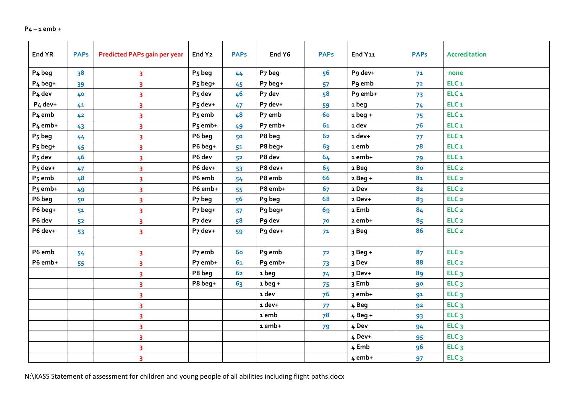# **P4 – 1 emb +**

| End YR              | <b>PAPs</b>    | <b>Predicted PAPs gain per year</b> | End Y <sub>2</sub>  | <b>PAPs</b>    | End Y6                  | <b>PAPs</b>    | End Y11   | <b>PAPs</b>    | <b>Accreditation</b> |
|---------------------|----------------|-------------------------------------|---------------------|----------------|-------------------------|----------------|-----------|----------------|----------------------|
| P <sub>4</sub> beg  | 3 <sup>8</sup> | 3                                   | P <sub>5</sub> beg  | 44             | P7 beg                  | 56             | Pg dev+   | 7 <sup>1</sup> | none                 |
| P <sub>4</sub> beg+ | 39             | 3                                   | P <sub>5</sub> beg+ | 45             | P7 beg+                 | 57             | P9 emb    | 7 <sup>2</sup> | ELC <sub>1</sub>     |
| P <sub>4</sub> dev  | 40             | $\overline{\mathbf{3}}$             | P <sub>5</sub> dev  | 46             | P7 dev                  | 58             | P9 emb+   | 73             | ELC <sub>1</sub>     |
| P <sub>4</sub> dev+ | 41             | 3                                   | P5 dev+             | 47             | P7 dev+                 | 59             | 1 beg     | 74             | ELC <sub>1</sub>     |
| P <sub>4</sub> emb  | 42             | 3                                   | P <sub>5</sub> emb  | 48             | P <sub>7</sub> emb      | <b>60</b>      | $1beg+$   | 75             | ELC <sub>1</sub>     |
| P <sub>4</sub> emb+ | 43             | 3                                   | P <sub>5</sub> emb+ | 49             | P7 emb+                 | 61             | 1 dev     | 7 <sup>6</sup> | ELC <sub>1</sub>     |
| P <sub>5</sub> beg  | 44             | 3                                   | P6 beg              | 50             | P8 beg                  | 62             | 1 dev+    | 77             | ELC <sub>1</sub>     |
| $P_5$ beg+          | 45             | 3                                   | P6 beg+             | 5 <sup>1</sup> | P8 beg+                 | 63             | 1 emb     | 7 <sup>8</sup> | ELC <sub>1</sub>     |
| P <sub>5</sub> dev  | 46             | 3                                   | P6 dev              | 5 <sup>2</sup> | P8 dev                  | 64             | 1 emb+    | 79             | ELC <sub>1</sub>     |
| P <sub>5</sub> dev+ | 47             | 3                                   | P6 dev+             | 53             | P8 dev+                 | 65             | 2 Beg     | 80             | ELC <sub>2</sub>     |
| P <sub>5</sub> emb  | 48             | $\overline{\mathbf{3}}$             | P6 emb              | 54             | P8 emb                  | 66             | $2$ Beg + | 8 <sub>1</sub> | ELC <sub>2</sub>     |
| P <sub>5</sub> emb+ | 49             | 3                                   | P6 emb+             | 55             | P8 emb+                 | 67             | 2 Dev     | 82             | ELC <sub>2</sub>     |
| P6 beg              | 50             | 3                                   | P7 beg              | 56             | P9 beg                  | 68             | 2 Dev+    | 83             | ELC <sub>2</sub>     |
| P6 beg+             | 51             | 3                                   | P7 beg+             | 57             | P9 beg+                 | 69             | 2 Emb     | 84             | ELC <sub>2</sub>     |
| P6 dev              | 5 <sup>2</sup> | 3                                   | P7 dev              | 58             | P <sub>9</sub> dev      | 70             | 2 emb+    | 85             | ELC <sub>2</sub>     |
| P6 dev+             | 53             | $\overline{\mathbf{3}}$             | P7 dev+             | 59             | P9 dev+                 | 7 <sup>1</sup> | 3 Beg     | 86             | ELC <sub>2</sub>     |
|                     |                |                                     |                     |                |                         |                |           |                |                      |
| P6 emb              | 54             | 3                                   | P7 emb              | <b>60</b>      | P9 emb                  | 72             | 3 Beg +   | 87             | ELC <sub>2</sub>     |
| P6 emb+             | 55             | 3                                   | P7 emb+             | 61             | P9 emb+                 | 73             | 3 Dev     | 88             | ELC <sub>2</sub>     |
|                     |                | $\overline{\mathbf{3}}$             | P8 beg              | 6 <sub>2</sub> | 1 beg                   | 74             | 3 Dev+    | 89             | ELC <sub>3</sub>     |
|                     |                | 3                                   | P8 beg+             | 63             | $1beg+$                 | 75             | 3 Emb     | 90             | ELC <sub>3</sub>     |
|                     |                | 3                                   |                     |                | 1 dev                   | 7 <sup>6</sup> | 3 emb+    | 91             | ELC <sub>3</sub>     |
|                     |                | 3                                   |                     |                | 1 dev+                  | 77             | 4 Beg     | 92             | ELC <sub>3</sub>     |
|                     |                | 3                                   |                     |                | $\mbox{\texttt{1}}$ emb | 78             | $4$ Beg + | 93             | ELC <sub>3</sub>     |
|                     |                | $\overline{\mathbf{3}}$             |                     |                | 1 emb+                  | 79             | 4 Dev     | 94             | ELC <sub>3</sub>     |
|                     |                | 3                                   |                     |                |                         |                | 4 Dev+    | 95             | ELC <sub>3</sub>     |
|                     |                | 3                                   |                     |                |                         |                | 4 Emb     | 96             | ELC <sub>3</sub>     |
|                     |                | 3                                   |                     |                |                         |                | 4 emb+    | 97             | ELC <sub>3</sub>     |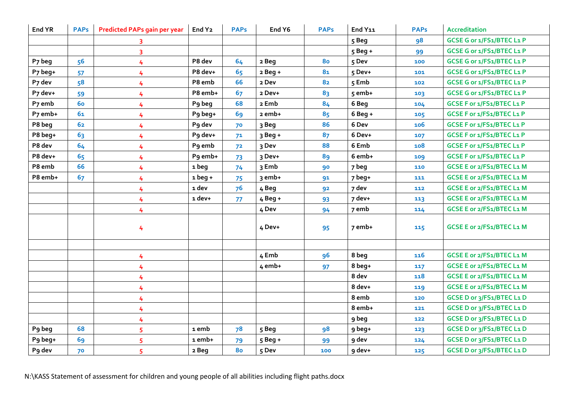| End YR             | <b>PAPs</b> | <b>Predicted PAPs gain per year</b> | End Y <sub>2</sub> | <b>PAPs</b>    | End Y6    | <b>PAPs</b>    | End Y11   | <b>PAPs</b> | <b>Accreditation</b>      |
|--------------------|-------------|-------------------------------------|--------------------|----------------|-----------|----------------|-----------|-------------|---------------------------|
|                    |             | 3                                   |                    |                |           |                | 5 Beg     | 98          | GCSE G or 1/FS1/BTEC L1 P |
|                    |             | 3                                   |                    |                |           |                | $5$ Beg + | 99          | GCSE G or 1/FS1/BTEC L1 P |
| P7 beg             | 56          | 4                                   | P8 dev             | 64             | 2 Beg     | 80             | 5 Dev     | 100         | GCSE G or 1/FS1/BTEC L1 P |
| P7 beg+            | 57          | 4                                   | P8 dev+            | 65             | $2$ Beg + | 8 <sub>1</sub> | 5 Dev+    | 101         | GCSE G or 1/FS1/BTEC L1 P |
| P7 dev             | 58          | 4                                   | P8 emb             | 66             | 2 Dev     | 82             | 5 Emb     | 102         | GCSE G or 1/FS1/BTEC L1 P |
| P7 dev+            | 59          | 4                                   | P8 emb+            | 67             | 2 Dev+    | 83             | 5 emb+    | 103         | GCSE G or 1/FS1/BTEC L1 P |
| P <sub>7</sub> emb | <b>60</b>   | 4                                   | P9 beg             | 68             | 2 Emb     | 84             | 6 Beg     | 104         | GCSE F or 1/FS1/BTEC L1 P |
| P7 emb+            | 61          | 4                                   | P9 beg+            | 69             | 2 emb+    | 85             | $6$ Beq + | 105         | GCSE F or 1/FS1/BTEC L1 P |
| P8 beg             | 62          | 4                                   | P9 dev             | 70             | 3 Beg     | 86             | 6 Dev     | 106         | GCSE F or 1/FS1/BTEC L1 P |
| P8 beg+            | 63          | 4                                   | P9 dev+            | 7 <sup>1</sup> | $3$ Beg + | 87             | 6 Dev+    | 107         | GCSE F or 1/FS1/BTEC L1 P |
| P8 dev             | 64          | 4                                   | P <sub>9</sub> emb | 7 <sup>2</sup> | 3 Dev     | 88             | 6 Emb     | 108         | GCSE F or 1/FS1/BTEC L1 P |
| P8 dev+            | 65          | 4                                   | P9 emb+            | 73             | 3 Dev+    | 89             | 6 emb+    | 109         | GCSE F or 1/FS1/BTEC L1 P |
| P8 emb             | 66          | 4                                   | 1 beg              | 74             | 3 Emb     | 90             | 7 beg     | 110         | GCSE E or 2/FS1/BTEC L1 M |
| P8 emb+            | 67          | 4                                   | $1beg+$            | 75             | 3 emb+    | 91             | 7 beg+    | 111         | GCSE E or 2/FS1/BTEC L1 M |
|                    |             | 4                                   | 1 dev              | 76             | 4 Beg     | 92             | 7 dev     | 112         | GCSE E or 2/FS1/BTEC L1 M |
|                    |             | 4                                   | 1 dev+             | 77             | $4$ Beg + | 93             | 7 dev+    | 113         | GCSE E or 2/FS1/BTEC L1 M |
|                    |             | 4                                   |                    |                | 4 Dev     | 94             | 7 emb     | 114         | GCSE E or 2/FS1/BTEC L1 M |
|                    |             | 4                                   |                    |                | 4 Dev+    | 95             | 7 emb+    | 115         | GCSE E or 2/FS1/BTEC L1 M |
|                    |             |                                     |                    |                |           |                |           |             |                           |
|                    |             | 4                                   |                    |                | 4 Emb     | 96             | 8 beg     | 116         | GCSE E or 2/FS1/BTEC L1 M |
|                    |             | 4                                   |                    |                | $4$ emb+  | 97             | 8 beg+    | 117         | GCSE E or 2/FS1/BTEC L1 M |
|                    |             | 4                                   |                    |                |           |                | 8 dev     | 118         | GCSE E or 2/FS1/BTEC L1 M |
|                    |             | 4                                   |                    |                |           |                | 8 dev+    | 119         | GCSE E or 2/FS1/BTEC L1 M |
|                    |             | 4                                   |                    |                |           |                | 8 emb     | 120         | GCSE D or 3/FS1/BTEC L1 D |
|                    |             | 4                                   |                    |                |           |                | 8 emb+    | 121         | GCSE D or 3/FS1/BTEC L1 D |
|                    |             | 4                                   |                    |                |           |                | 9 beg     | 122         | GCSE D or 3/FS1/BTEC L1 D |
| P9 beg             | 68          | 5                                   | 1 emb              | 7 <sup>8</sup> | 5 Beg     | 98             | 9 beg+    | 123         | GCSE D or 3/FS1/BTEC L1 D |
| P9 beg+            | 69          | 5                                   | 1 emb+             | 79             | 5 Beg +   | 99             | 9 dev     | 124         | GCSE D or 3/FS1/BTEC L1 D |
| P9 dev             | 70          | 5                                   | 2 Beg              | 80             | 5 Dev     | 100            | 9 dev+    | 125         | GCSE D or 3/FS1/BTEC L1 D |